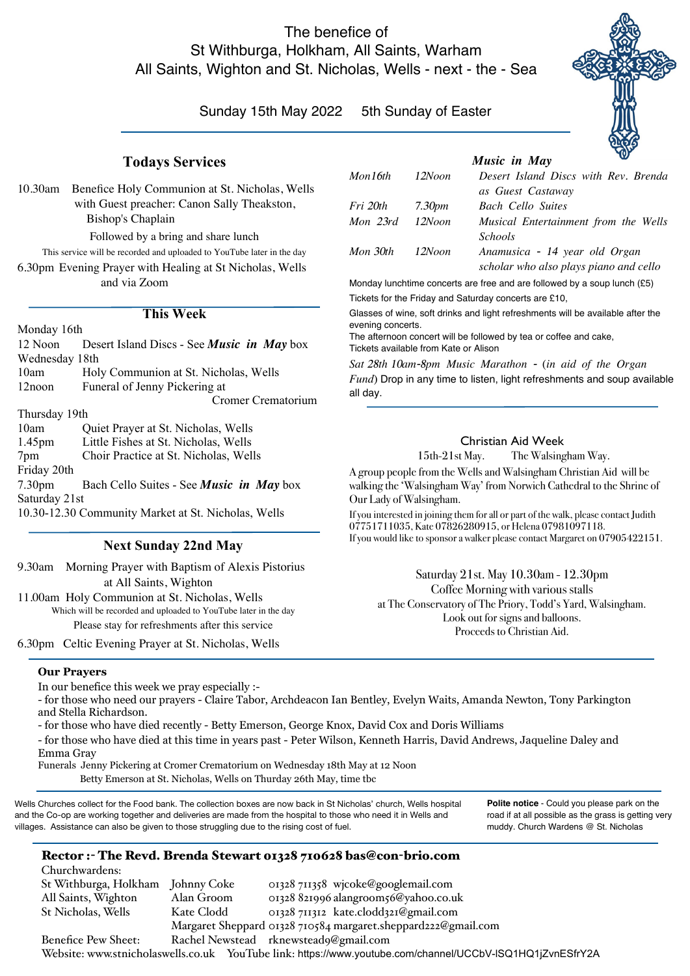# The benefice of St Withburga, Holkham, All Saints, Warham All Saints, Wighton and St. Nicholas, Wells - next - the - Sea

# Sunday 15th May 2022 5th Sunday of Easter

#### **Todays Services**

10.30am Benefice Holy Communion at St. Nicholas, Wells with Guest preacher: Canon Sally Theakston, Bishop's Chaplain

Followed by a bring and share lunch

This service will be recorded and uploaded to YouTube later in the day 6.30pm Evening Prayer with Healing at St Nicholas, Wells and via Zoom

#### **This Week**

| Monday 16th                                         |                                                   |  |  |
|-----------------------------------------------------|---------------------------------------------------|--|--|
| 12 Noon                                             | Desert Island Discs - See <i>Music</i> in May box |  |  |
| Wednesday 18th                                      |                                                   |  |  |
| 10am                                                | Holy Communion at St. Nicholas, Wells             |  |  |
| 12noon                                              | Funeral of Jenny Pickering at                     |  |  |
|                                                     | Cromer Crematorium                                |  |  |
| Thursday 19th                                       |                                                   |  |  |
| 10am                                                | Quiet Prayer at St. Nicholas, Wells               |  |  |
| 1.45 <sub>pm</sub>                                  | Little Fishes at St. Nicholas, Wells              |  |  |
| 7pm                                                 | Choir Practice at St. Nicholas, Wells             |  |  |
| Friday 20th                                         |                                                   |  |  |
| 7.30 <sub>pm</sub>                                  | Bach Cello Suites - See <i>Music</i> in May box   |  |  |
| Saturday 21st                                       |                                                   |  |  |
| 10.30-12.30 Community Market at St. Nicholas, Wells |                                                   |  |  |
|                                                     |                                                   |  |  |

## **Next Sunday 22nd May**

9.30am Morning Prayer with Baptism of Alexis Pistorius at All Saints, Wighton

11.00am Holy Communion at St. Nicholas, Wells Which will be recorded and uploaded to YouTube later in the day Please stay for refreshments after this service

6.30pm Celtic Evening Prayer at St. Nicholas, Wells

*Music in May as Guest Castaway*

| <b>Music</b> in Muy |                    |                                        |  |
|---------------------|--------------------|----------------------------------------|--|
| Mon16th             | 12Noon             | Desert Island Discs with Rev. Brenda   |  |
|                     |                    | as Guest Castaway                      |  |
| Fri 20th            | 7.30 <sub>pm</sub> | <b>Bach Cello Suites</b>               |  |
| Mon 23rd            | 12Noon             | Musical Entertainment from the Wells   |  |
|                     |                    | <i>Schools</i>                         |  |
| Mon 30th            | 12Noon             | Anamusica - 14 year old Organ          |  |
|                     |                    | scholar who also plays piano and cello |  |

Monday lunchtime concerts are free and are followed by a soup lunch (£5) Tickets for the Friday and Saturday concerts are £10,

Glasses of wine, soft drinks and light refreshments will be available after the evening concerts.

The afternoon concert will be followed by tea or coffee and cake, Tickets available from Kate or Alison

*Sat 28th 10am-8pm Music Marathon - (in aid of the Organ Fund)* Drop in any time to listen, light refreshments and soup available all day.

# Christian Aid Week

15th-21st May. The Walsingham Way.

A group people from the Wells and Walsingham Christian Aid will be walking the 'Walsingham Way' from Norwich Cathedral to the Shrine of Our Lady of Walsingham.

If you interested in joining them for all or part of the walk, please contact Judith 07751711035, Kate 07826280915, or Helena 07981097118. If you would like to sponsor a walker please contact Margaret on 07905422151.

Saturday 21st. May 10.30am - 12.30pm Coffee Morning with various stalls at The Conservatory of The Priory, Todd's Yard, Walsingham. Look out for signs and balloons. Proceeds to Christian Aid.

> **Polite notice** - Could you please park on the road if at all possible as the grass is getting very muddy. Church Wardens @ St. Nicholas

#### **Our Prayers**

In our benefice this week we pray especially :-

- for those who need our prayers - Claire Tabor, Archdeacon Ian Bentley, Evelyn Waits, Amanda Newton, Tony Parkington and Stella Richardson.

- for those who have died recently - Betty Emerson, George Knox, David Cox and Doris Williams

- for those who have died at this time in years past - Peter Wilson, Kenneth Harris, David Andrews, Jaqueline Daley and Emma Gray

Funerals Jenny Pickering at Cromer Crematorium on Wednesday 18th May at 12 Noon Betty Emerson at St. Nicholas, Wells on Thurday 26th May, time tbc

Wells Churches collect for the Food bank. The collection boxes are now back in St Nicholas' church, Wells hospital and the Co-op are working together and deliveries are made from the hospital to those who need it in Wells and villages. Assistance can also be given to those struggling due to the rising cost of fuel.

## Rector :- The Revd. Brenda Stewart 01328 710628 bas@con-brio.com

Churchwardens: St Withburga, Holkham Johnny Coke 01328 711358 wjcoke@googlemail.com All Saints, Wighton Alan Groom 01328 821996 alangroom56@yahoo.co.uk St Nicholas, Wells Kate Clodd 01328 711312 kate.clodd321@gmail.com Margaret Sheppard 01328 710584 margaret.sheppard222@gmail.com Benefice Pew Sheet: Rachel Newstead rknewstead9@gmail.com Website: www.stnicholaswells.co.uk YouTube link: https://www.youtube.com/channel/UCCbV-lSQ1HQ1jZvnESfrY2A